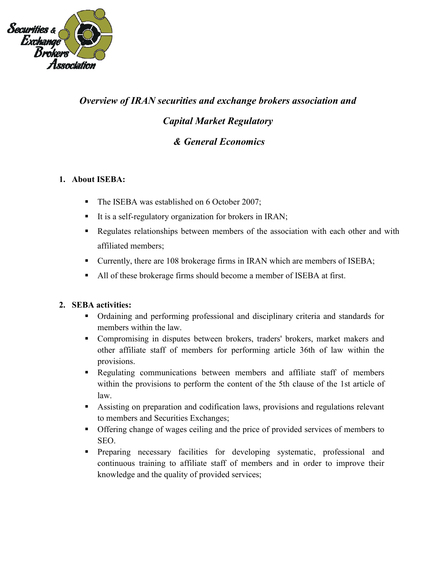

# *Overview of IRAN securities and exchange brokers association and Capital Market Regulatory & General Economics*

## **1. About ISEBA:**

- The ISEBA was established on 6 October 2007;
- It is a self-regulatory organization for brokers in IRAN;
- Regulates relationships between members of the association with each other and with affiliated members;
- Currently, there are 108 brokerage firms in IRAN which are members of ISEBA;
- All of these brokerage firms should become a member of ISEBA at first.

#### **2. SEBA activities:**

- Ordaining and performing professional and disciplinary criteria and standards for members within the law.
- Compromising in disputes between brokers, traders' brokers, market makers and other affiliate staff of members for performing article 36th of law within the provisions.
- **EXECUTE 1.5** Regulating communications between members and affiliate staff of members within the provisions to perform the content of the 5th clause of the 1st article of law.
- Assisting on preparation and codification laws, provisions and regulations relevant to members and Securities Exchanges;
- **•** Offering change of wages ceiling and the price of provided services of members to SEO.
- **•** Preparing necessary facilities for developing systematic, professional and continuous training to affiliate staff of members and in order to improve their knowledge and the quality of provided services;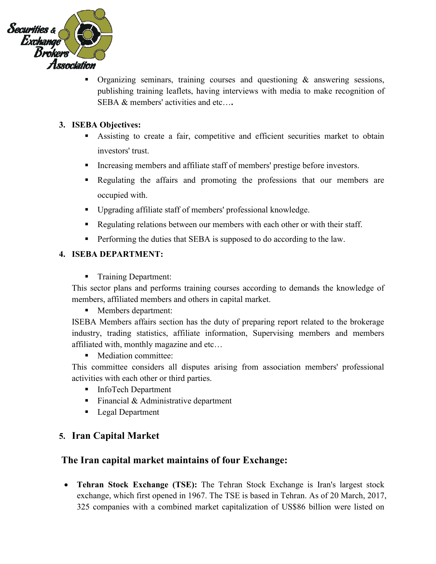

Organizing seminars, training courses and questioning  $\&$  answering sessions, publishing training leaflets, having interviews with media to make recognition of SEBA & members' activities and etc…**.**

## **3. ISEBA Objectives:**

- Assisting to create a fair, competitive and efficient securities market to obtain investors' trust.
- **•** Increasing members and affiliate staff of members' prestige before investors.
- Regulating the affairs and promoting the professions that our members are occupied with.
- Upgrading affiliate staff of members' professional knowledge.
- **•** Regulating relations between our members with each other or with their staff.
- **•** Performing the duties that SEBA is supposed to do according to the law.

## **4. ISEBA DEPARTMENT:**

Training Department:

This sector plans and performs training courses according to demands the knowledge of members, affiliated members and others in capital market.

■ Members department:

ISEBA Members affairs section has the duty of preparing report related to the brokerage industry, trading statistics, affiliate information, Supervising members and members affiliated with, monthly magazine and etc…

■ Mediation committee:

This committee considers all disputes arising from association members' professional activities with each other or third parties.

- InfoTech Department
- $\blacksquare$  Financial & Administrative department
- Legal Department

# **5. Iran Capital Market**

## **The Iran capital market maintains of four Exchange:**

• **Tehran Stock Exchange (TSE):** The Tehran Stock Exchange is [Iran'](https://en.wikipedia.org/wiki/Iran)s largest stock exchange, which first opened in 1967. The TSE is based in [Tehran.](https://en.wikipedia.org/wiki/Tehran) As of 20 March, 2017, 325 companies with a combined market capitalization of US\$86 billion were listed on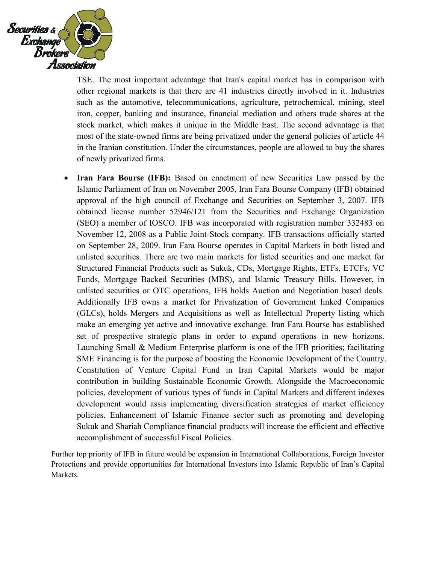

TSE. The most important advantage that Iran's [capital market](https://en.wikipedia.org/wiki/Capital_market) has in comparison with other regional markets is that there are [41 industries d](https://en.wikipedia.org/wiki/Industry_of_Iran)irectly involved in it. Industries such as the [automotive,](https://en.wikipedia.org/wiki/Automotive_industry_in_Iran) [telecommunications,](https://en.wikipedia.org/wiki/Communications_in_Iran) [agriculture,](https://en.wikipedia.org/wiki/Agriculture_in_Iran#Agriculture_in_Iran.27s_economy) [petrochemical,](https://en.wikipedia.org/wiki/National_Iranian_Petrochemical_Company) [mining, steel](https://en.wikipedia.org/wiki/Mining_in_Iran#Economics)  [iron, copper,](https://en.wikipedia.org/wiki/Mining_in_Iran#Economics) [banking and insurance,](https://en.wikipedia.org/wiki/Banking_and_insurance_in_Iran) [financial mediation](https://en.wikipedia.org/wiki/Banking_in_Iran) and others trade shares at the stock market, which makes it unique in [the Middle East.](https://en.wikipedia.org/wiki/The_Middle_East) The second advantage is that most of the [state-owned firms are being privatized](https://en.wikipedia.org/wiki/Privatization_in_Iran) under the general policies of article 44 in the [Iranian constitution.](https://en.wikipedia.org/wiki/Iranian_constitution) Under the circumstances, people are allowed to buy the shares of newly privatized firms.

• **Iran Fara Bourse (IFB):** Based on enactment of new Securities Law passed by the Islamic Parliament of Iran on November 2005, Iran Fara Bourse Company (IFB) obtained approval of the high council of Exchange and Securities on September 3, 2007. IFB obtained license number 52946/121 from the Securities and Exchange Organization (SEO) a member of IOSCO. IFB was incorporated with registration number 332483 on November 12, 2008 as a Public Joint-Stock company. IFB transactions officially started on September 28, 2009. Iran Fara Bourse operates in Capital Markets in both listed and unlisted securities. There are two main markets for listed securities and one market for Structured Financial Products such as Sukuk, CDs, Mortgage Rights, ETFs, ETCFs, VC Funds, Mortgage Backed Securities (MBS), and Islamic Treasury Bills. However, in unlisted securities or OTC operations, IFB holds Auction and Negotiation based deals. Additionally IFB owns a market for Privatization of Government linked Companies (GLCs), holds Mergers and Acquisitions as well as Intellectual Property listing which make an emerging yet active and innovative exchange. Iran Fara Bourse has established set of prospective strategic plans in order to expand operations in new horizons. Launching Small & Medium Enterprise platform is one of the IFB priorities; facilitating SME Financing is for the purpose of boosting the Economic Development of the Country. Constitution of Venture Capital Fund in Iran Capital Markets would be major contribution in building Sustainable Economic Growth. Alongside the Macroeconomic policies, development of various types of funds in Capital Markets and different indexes development would assis implementing diversification strategies of market efficiency policies. Enhancement of Islamic Finance sector such as promoting and developing Sukuk and Shariah Compliance financial products will increase the efficient and effective accomplishment of successful Fiscal Policies.

Further top priority of IFB in future would be expansion in International Collaborations, Foreign Investor Protections and provide opportunities for International Investors into Islamic Republic of Iran's Capital Markets.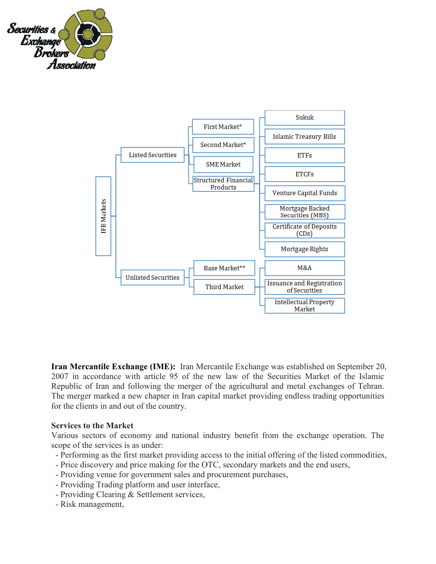



**Iran Mercantile Exchange (IME):** Iran Mercantile Exchange was established on September 20, 2007 in accordance with article 95 of the new law of the Securities Market of the Islamic Republic of Iran and following the merger of the agricultural and metal exchanges of Tehran. The merger marked a new chapter in Iran capital market providing endless trading opportunities for the clients in and out of the country.

#### **Services to the Market**

Various sectors of economy and national industry benefit from the exchange operation. The scope of the services is as under:

- Performing as the first market providing access to the initial offering of the listed commodities,
- Price discovery and price making for the OTC, secondary markets and the end users,
- Providing venue for government sales and procurement purchases,
- Providing Trading platform and user interface,
- Providing Clearing & Settlement services,
- Risk management,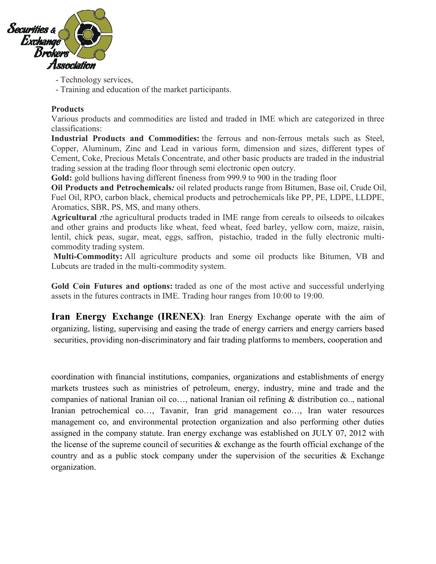

- Technology services,
- Training and education of the market participants.

#### **Products**

Various products and commodities are listed and traded in IME which are categorized in three classifications:

**Industrial Products and Commodities:** the ferrous and non-ferrous metals such as Steel, Copper, Aluminum, Zinc and Lead in various form, dimension and sizes, different types of Cement, Coke, Precious Metals Concentrate, and other basic products are traded in the industrial trading session at the trading floor through semi electronic open outcry.

**Gold:** gold bullions having different fineness from 999.9 to 900 in the trading floor

**Oil Products and Petrochemicals***:* oil related products range from Bitumen, Base oil, Crude Oil, Fuel Oil, RPO, carbon black, chemical products and petrochemicals like PP, PE, LDPE, LLDPE, Aromatics, SBR, PS, MS, and many others.

**Agricultural** *:*the agricultural products traded in IME range from cereals to oilseeds to oilcakes and other grains and products like wheat, feed wheat, feed barley, yellow corn, maize, raisin, lentil, chick peas, sugar, meat, eggs, saffron, pistachio, traded in the fully electronic multicommodity trading system.

**Multi-Commodity:** All agriculture products and some oil products like Bitumen, VB and Lubcuts are traded in the multi-commodity system.

**Gold Coin Futures and options:** traded as one of the most active and successful underlying assets in the futures contracts in IME. Trading hour ranges from 10:00 to 19:00.

**Iran Energy Exchange (IRENEX)**: Iran Energy Exchange operate with the aim of organizing, listing, supervising and easing the trade of energy carriers and energy carriers based securities, providing non-discriminatory and fair trading platforms to members, cooperation and

coordination with financial institutions, companies, organizations and establishments of energy markets trustees such as ministries of petroleum, energy, industry, mine and trade and the companies of national Iranian oil co…, national Iranian oil refining & distribution co.., national Iranian petrochemical co…, Tavanir, Iran grid management co…, Iran water resources management co, and environmental protection organization and also performing other duties assigned in the company statute. Iran energy exchange was established on JULY 07, 2012 with the license of the supreme council of securities & exchange as the fourth official exchange of the country and as a public stock company under the supervision of the securities  $\&$  Exchange organization.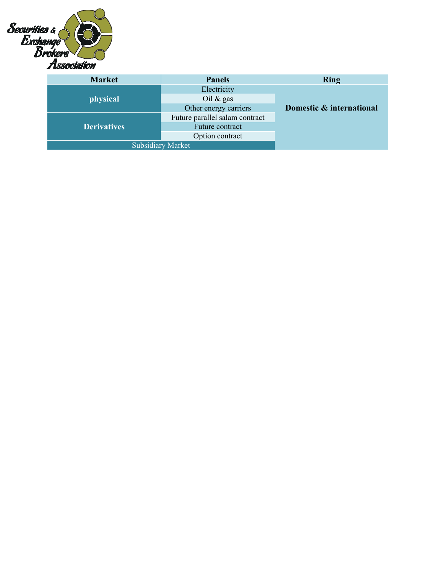

| <b>Market</b>            | <b>Panels</b>                  | <b>Ring</b>              |  |  |
|--------------------------|--------------------------------|--------------------------|--|--|
|                          | Electricity                    |                          |  |  |
| physical                 | Oil $\&$ gas                   |                          |  |  |
|                          | Other energy carriers          | Domestic & international |  |  |
|                          | Future parallel salam contract |                          |  |  |
| <b>Derivatives</b>       | Future contract                |                          |  |  |
|                          | Option contract                |                          |  |  |
| <b>Subsidiary Market</b> |                                |                          |  |  |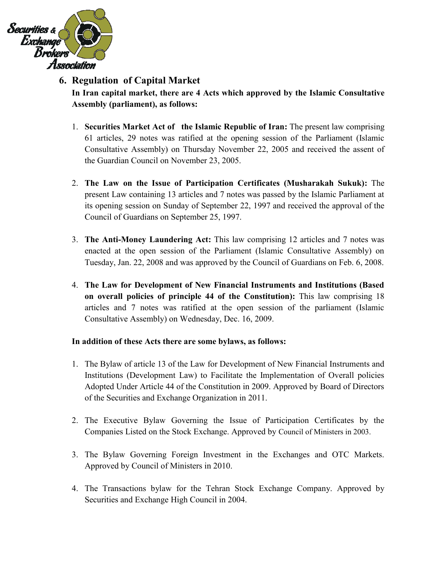

# **6. Regulation of Capital Market**

**In Iran capital market, there are 4 Acts which approved by the Islamic Consultative Assembly (parliament), as follows:**

- 1. **Securities Market Act of the Islamic Republic of Iran:** The present law comprising 61 articles, 29 notes was ratified at the opening session of the Parliament (Islamic Consultative Assembly) on Thursday November 22, 2005 and received the assent of the Guardian Council on November 23, 2005.
- 2. **The Law on the Issue of Participation Certificates (Musharakah Sukuk):** The present Law containing 13 articles and 7 notes was passed by the Islamic Parliament at its opening session on Sunday of September 22, 1997 and received the approval of the Council of Guardians on September 25, 1997.
- 3. **The Anti-Money Laundering Act:** This law comprising 12 articles and 7 notes was enacted at the open session of the Parliament (Islamic Consultative Assembly) on Tuesday, Jan. 22, 2008 and was approved by the Council of Guardians on Feb. 6, 2008.
- 4. **The Law for Development of New Financial Instruments and Institutions (Based on overall policies of principle 44 of the Constitution):** This law comprising 18 articles and 7 notes was ratified at the open session of the parliament (Islamic Consultative Assembly) on Wednesday, Dec. 16, 2009.

#### **In addition of these Acts there are some bylaws, as follows:**

- 1. The Bylaw of article 13 of the Law for Development of New Financial Instruments and Institutions (Development Law) to Facilitate the Implementation of Overall policies Adopted Under Article 44 of the Constitution in 2009. Approved by Board of Directors of the Securities and Exchange Organization in 2011.
- 2. The Executive Bylaw Governing the Issue of Participation Certificates by the Companies Listed on the Stock Exchange. Approved by Council of Ministers in 2003.
- 3. The Bylaw Governing Foreign Investment in the Exchanges and OTC Markets. Approved by Council of Ministers in 2010.
- 4. The Transactions bylaw for the Tehran Stock Exchange Company. Approved by Securities and Exchange High Council in 2004.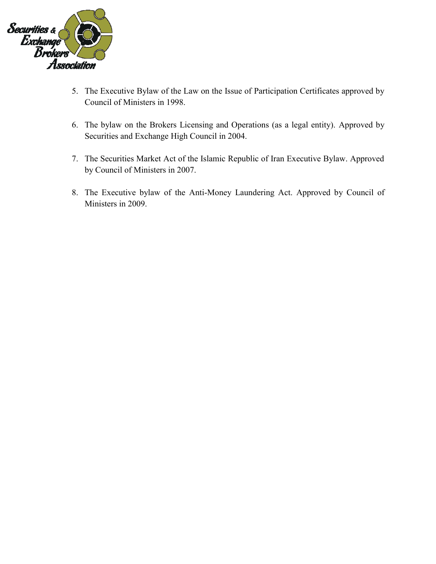

- 5. The Executive Bylaw of the Law on the Issue of Participation Certificates approved by Council of Ministers in 1998.
- 6. The bylaw on the Brokers Licensing and Operations (as a legal entity). Approved by Securities and Exchange High Council in 2004.
- 7. The Securities Market Act of the Islamic Republic of Iran Executive Bylaw. Approved by Council of Ministers in 2007.
- 8. The Executive bylaw of the Anti-Money Laundering Act. Approved by Council of Ministers in 2009.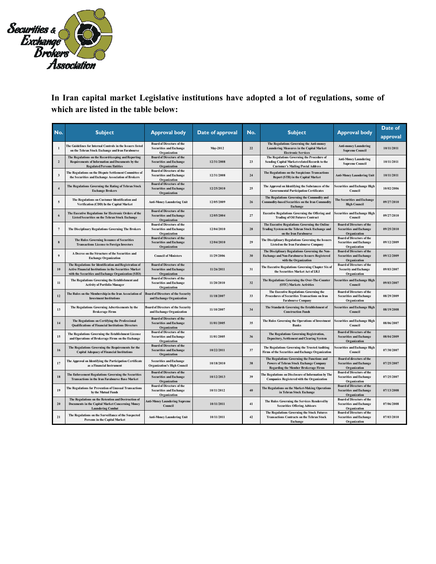

# **In Iran capital market Legislative institutions have adopted a lot of regulations, some of which are listed in the table below:**

| Date of<br><b>Subject</b><br><b>Subject</b><br><b>Approval body</b><br>Date of approval<br><b>Approval body</b><br>No.<br>No.<br>approval<br><b>Board of Directors of the</b><br>The Regulations Governing the Anti-money<br>The Guidelines for Internal Controls in the Issuers listed<br><b>Anti-money Laundering</b><br>$\mathbf 1$<br>10/11/2011<br>22<br>Laundering Measures in the Capital Market<br><b>Securities and Exchange</b><br>May-2012<br>on the Tehran Stock Exchange and Iran Farabourse<br><b>Supreme Council</b><br>Organization<br><b>Electronic Services</b><br>The Regulations on the Record-keeping and Reporting<br><b>Board of Directors of the</b><br>The Regulations Governing the Procedure of<br><b>Anti-Money Laundering</b><br>10/11/2011<br>$\overline{2}$<br>Requirements of Information and Documents by the<br><b>Securities and Exchange</b><br>12/31/2008<br>23<br>Sending Capital Market-related Records to the<br><b>Supreme Council</b><br><b>Regulated Persons/Entities</b><br>Organization<br><b>Customer's Mailing/Postal Address</b><br><b>Board of Directors of the</b><br>The Regulations on the Dispute Settlement Committee of<br>The Regulations on the Suspicious Transactions<br>24<br>$\mathbf{3}$<br><b>Securities and Exchange</b><br>12/31/2008<br><b>Anti-Money Laundering Unit</b><br>10/11/2011<br>the Securities and Exchange Association of Brokers<br>Report (STR) in the Capital Market<br>Organization<br><b>Board of Directors of the</b><br>The Regulations Governing the Rating of Tehran Stock<br>The Approval on Identifying the Substances of the<br><b>Securities and Exchange High</b><br>10/02/2006<br>$\sqrt{4}$<br><b>Securities and Exchange</b><br>12/25/2010<br>25<br><b>Governmental Participation Certificates</b><br><b>Exchange Brokers</b><br>Council<br>Organization<br>The Regulations Governing the Commodity and<br>The Regulations on Customer Identification and<br>The Securities and Exchange<br>09/27/2010<br>$\sqrt{5}$<br><b>Anti-Money Laundering Unit</b><br>26<br>Commodity-based Securities on the Iran Commodity<br>12/05/2009<br>Verification (CDD) In the Capital Market<br><b>High Council</b><br>Exchange<br><b>Board of Directors of the</b><br>The Executive Regulations for Electronic Orders of the<br><b>Executive Regulations Governing the Offering and</b><br>Securities and Exchange High<br>27<br>09/27/2010<br>6<br><b>Securities and Exchange</b><br>12/05/2004<br><b>Listed Securities on the Tehran Stock Exchange</b><br><b>Trading of Oil Futures Contract</b><br>Council<br>Organization<br><b>Board of Directors of the</b><br><b>Board of Directors of the</b><br>The Executive Regulations Governing the Online<br>$\tau$<br>The Disciplinary Regulations Governing The Brokers<br><b>Securities and Exchange</b><br>12/04/2010<br>28<br>Trading System on the Tehran Stock Exchange and<br><b>Securities and Exchange</b><br>09/25/2010<br>Organization<br>Organization<br>on the Iran Farabourse<br><b>Board of Directors of the</b><br><b>Board of Directors of the</b><br>The Rules Governing Issuance of Securities<br>The Disciplinary Regulations Governing the Issuers<br>29<br><b>Securities and Exchange</b><br>12/04/2010<br><b>Securities and Exchange</b><br>09/12/2009<br>8<br><b>Transactions License to Foreign Investors</b><br><b>Listed on the Iran Farabourse Company</b><br>Organization<br>Organization<br>The Disciplinary Regulations Governing the Non-<br><b>Board of Directors of the</b><br>A Decree on the Structure of the Securities and<br>$\boldsymbol{9}$<br><b>Council of Ministers</b><br>11/29/2006<br>30<br><b>Securities and Exchange</b><br>09/12/2009<br><b>Exchange and Non-Farabourse Issuers Registered</b><br><b>Exchange Organization</b><br>with the Organization<br>Organization<br><b>Board of Directors of the</b><br>The Regulations for Identification and Registration of<br><b>Board of Directors of the</b><br>The Executive Regulations Governing Chapter Six of<br>Active Financial Institutions in the Securities Market<br><b>Securities and Exchange</b><br>11/26/2011<br>31<br><b>Security and Exchange</b><br>09/03/2007<br>10<br>the Securities Market Act of I.R.I<br>with the Securities and Exchange Organization (SEO)<br>Organization<br>Organization<br><b>Board of Directors of the</b><br>The Regulations Governing the Establishment and<br>The Regulations Governing the Over-The-Counter<br>Securities and Exchange High<br>32<br>09/03/2007<br>11<br>11/20/2010<br><b>Securities and Exchange</b><br><b>Activity of Portfolio Manager</b><br>(OTC) Markets Activities<br>Council<br>Organization<br>The Executive Regulations Governing the<br><b>Board of Directors of the</b><br>The Rules on the Membership in the Iran Association of<br><b>Board of Directors of the Security</b><br>12<br>11/18/2007<br>33<br>Procedures of Securities Transactions on Iran<br><b>Securities and Exchange</b><br>08/29/2009<br><b>Investment Institutions</b><br>and Exchange Organization<br><b>Farabourse Company</b><br>Organization<br>The Regulations Governing Advertisements by the<br><b>Board of Directors of the Security</b><br>The Standards Governing the Establishment of<br>Securities and Exchange High<br>13<br>08/19/2008<br>11/10/2007<br>34<br><b>Brokerage Firms</b><br>and Exchange Organization<br><b>Construction Funds</b><br>Council<br><b>Board of Directors of the</b><br><b>Securities and Exchange High</b><br>The Regulations on Certifying the Professional<br>The Rules Governing the Operations of Investment<br>35<br>08/06/2007<br>14<br><b>Securities and Exchange</b><br>11/01/2005<br><b>Qualifications of Financial Institutions Directors</b><br><b>Banks</b><br>Council<br>Organization<br><b>Board of Directors of the</b><br><b>Board of Directors of the</b><br>The Regulations Governing the Establishment License<br>The Regulations Governing Registration,<br>36<br><b>Securities and Exchange</b><br>08/04/2009<br>15<br><b>Securities and Exchange</b><br>11/01/2005<br>and Operations of Brokerage Firms on the Exchange<br>Depository, Settlement and Clearing System<br>Organization<br>Organization<br><b>Board of Directors of the</b><br><b>Securities and Exchange High</b><br>The Regulations Governing the Requirements for the<br>The Regulations Governing the Trusted Auditing<br>10/22/2011<br>37<br>07/30/2007<br>16<br><b>Securities and Exchange</b><br>Firms of the Securities and Exchange Organization<br>Council<br><b>Capital Adequacy of Financial Institutions</b><br>Organization<br>The Regulations Governing the Functions and<br>Board of directors of the<br>The Approval on Identifying the Participation Certificate<br><b>Securities and Exchange</b><br>17<br>10/18/2010<br>38<br><b>Powers of Tehran Stock Exchange Company</b><br><b>Securities and Exchange</b><br>07/25/2007<br>as a Financial Instrument<br><b>Organization's High Council</b><br><b>Regarding the Member Brokerage Firms</b><br>Organization<br><b>Board of Directors of the</b><br><b>Board of Directors of the</b><br>The Enforcement Regulations Governing the Securities<br>The Regulations on Disclosure of Information by The<br>18<br><b>Securities and Exchange</b><br>10/12/2013<br>39<br><b>Securities and Exchange</b><br>07/25/2007<br><b>Transactions in the Iran Farabourse Base Market</b><br><b>Companies Registered with the Organization</b><br>Organization<br>Organization<br><b>Board of Directors of the</b><br><b>Board of Directors of the</b><br>The Regulations for Prevention of Unusual Transactions<br>The Regulations on the Market-Making Operations<br>19<br><b>Securities and Exchange</b><br>10/11/2012<br>40<br><b>Securities and Exchange</b><br>07/13/2008<br>by the Mutual Funds<br>in Tehran Stock Exchange<br>Organization<br>Organization<br>The Regulations on the Retention and Destruction of<br><b>Board of Directors of the</b><br><b>Anti-Money Laundering Supreme</b><br>The Rules Governing the Services Rendered by<br>Documents in the Capital Market Concerning Money<br>10/11/2011<br>41<br><b>Securities and Exchange</b><br>07/06/2008<br>20<br>Council<br><b>Securities Offering Advisors</b><br><b>Laundering Combat</b><br>Organization<br>The Regulations Governing the Stock Futures<br><b>Board of Directors of the</b><br>The Regulations on the Surveillance of the Suspected<br>21<br><b>Anti-Money Laundering Unit</b><br>10/11/2011<br>42<br><b>Transactions Contracts on the Tehran Stock</b><br><b>Securities and Exchange</b><br>07/03/2010<br>Persons in the Capital Market<br>Organization<br>Exchange | ⊷ |  |  |  |  |
|-----------------------------------------------------------------------------------------------------------------------------------------------------------------------------------------------------------------------------------------------------------------------------------------------------------------------------------------------------------------------------------------------------------------------------------------------------------------------------------------------------------------------------------------------------------------------------------------------------------------------------------------------------------------------------------------------------------------------------------------------------------------------------------------------------------------------------------------------------------------------------------------------------------------------------------------------------------------------------------------------------------------------------------------------------------------------------------------------------------------------------------------------------------------------------------------------------------------------------------------------------------------------------------------------------------------------------------------------------------------------------------------------------------------------------------------------------------------------------------------------------------------------------------------------------------------------------------------------------------------------------------------------------------------------------------------------------------------------------------------------------------------------------------------------------------------------------------------------------------------------------------------------------------------------------------------------------------------------------------------------------------------------------------------------------------------------------------------------------------------------------------------------------------------------------------------------------------------------------------------------------------------------------------------------------------------------------------------------------------------------------------------------------------------------------------------------------------------------------------------------------------------------------------------------------------------------------------------------------------------------------------------------------------------------------------------------------------------------------------------------------------------------------------------------------------------------------------------------------------------------------------------------------------------------------------------------------------------------------------------------------------------------------------------------------------------------------------------------------------------------------------------------------------------------------------------------------------------------------------------------------------------------------------------------------------------------------------------------------------------------------------------------------------------------------------------------------------------------------------------------------------------------------------------------------------------------------------------------------------------------------------------------------------------------------------------------------------------------------------------------------------------------------------------------------------------------------------------------------------------------------------------------------------------------------------------------------------------------------------------------------------------------------------------------------------------------------------------------------------------------------------------------------------------------------------------------------------------------------------------------------------------------------------------------------------------------------------------------------------------------------------------------------------------------------------------------------------------------------------------------------------------------------------------------------------------------------------------------------------------------------------------------------------------------------------------------------------------------------------------------------------------------------------------------------------------------------------------------------------------------------------------------------------------------------------------------------------------------------------------------------------------------------------------------------------------------------------------------------------------------------------------------------------------------------------------------------------------------------------------------------------------------------------------------------------------------------------------------------------------------------------------------------------------------------------------------------------------------------------------------------------------------------------------------------------------------------------------------------------------------------------------------------------------------------------------------------------------------------------------------------------------------------------------------------------------------------------------------------------------------------------------------------------------------------------------------------------------------------------------------------------------------------------------------------------------------------------------------------------------------------------------------------------------------------------------------------------------------------------------------------------------------------------------------------------------------------------------------------------------------------------------------------------------------------------------------------------------------------------------------------------------------------------------------------------------------------------------------------------------------------------------------------------------------------------------------------------------------------------------------------------------------------------------------------------------------------------------------------------------------------------------------------------------------------------------------------------------------------------------------------------------------------------------------------------------------------------------------------------------------------------------------------------------------------------------------------------------------------------------------------------------------------------------------------------------------------------------------------------------------------------------------------------------------------------------------------------------------------------------------------------------------------------------------------------------------------------------------------------------------------------------------------------------------------------------------------------------------------------------------------------------------------------------------------------------------------------------------------------------------------------------------------------------------------------------------------------------------------------------------------------------------------------------------------------------------------------------------------------------------------------------------------------------------------------------------------------------------------------------------------------------------------------------------------------------------------------------------------------------------------------------------------------------------------------------------------------------------------------------------------------------------------------------------------------------------------------------------------------------------------------------------------------------------------------------------------------------------------------|---|--|--|--|--|
|                                                                                                                                                                                                                                                                                                                                                                                                                                                                                                                                                                                                                                                                                                                                                                                                                                                                                                                                                                                                                                                                                                                                                                                                                                                                                                                                                                                                                                                                                                                                                                                                                                                                                                                                                                                                                                                                                                                                                                                                                                                                                                                                                                                                                                                                                                                                                                                                                                                                                                                                                                                                                                                                                                                                                                                                                                                                                                                                                                                                                                                                                                                                                                                                                                                                                                                                                                                                                                                                                                                                                                                                                                                                                                                                                                                                                                                                                                                                                                                                                                                                                                                                                                                                                                                                                                                                                                                                                                                                                                                                                                                                                                                                                                                                                                                                                                                                                                                                                                                                                                                                                                                                                                                                                                                                                                                                                                                                                                                                                                                                                                                                                                                                                                                                                                                                                                                                                                                                                                                                                                                                                                                                                                                                                                                                                                                                                                                                                                                                                                                                                                                                                                                                                                                                                                                                                                                                                                                                                                                                                                                                                                                                                                                                                                                                                                                                                                                                                                                                                                                                                                                                                                                                                                                                                                                                                                                                                                                                                                                                                                                                                                                                                                                                                                                                                                                                                                                                                                                                                                                                                                                                                                                                                                                                   |   |  |  |  |  |
|                                                                                                                                                                                                                                                                                                                                                                                                                                                                                                                                                                                                                                                                                                                                                                                                                                                                                                                                                                                                                                                                                                                                                                                                                                                                                                                                                                                                                                                                                                                                                                                                                                                                                                                                                                                                                                                                                                                                                                                                                                                                                                                                                                                                                                                                                                                                                                                                                                                                                                                                                                                                                                                                                                                                                                                                                                                                                                                                                                                                                                                                                                                                                                                                                                                                                                                                                                                                                                                                                                                                                                                                                                                                                                                                                                                                                                                                                                                                                                                                                                                                                                                                                                                                                                                                                                                                                                                                                                                                                                                                                                                                                                                                                                                                                                                                                                                                                                                                                                                                                                                                                                                                                                                                                                                                                                                                                                                                                                                                                                                                                                                                                                                                                                                                                                                                                                                                                                                                                                                                                                                                                                                                                                                                                                                                                                                                                                                                                                                                                                                                                                                                                                                                                                                                                                                                                                                                                                                                                                                                                                                                                                                                                                                                                                                                                                                                                                                                                                                                                                                                                                                                                                                                                                                                                                                                                                                                                                                                                                                                                                                                                                                                                                                                                                                                                                                                                                                                                                                                                                                                                                                                                                                                                                                                   |   |  |  |  |  |
|                                                                                                                                                                                                                                                                                                                                                                                                                                                                                                                                                                                                                                                                                                                                                                                                                                                                                                                                                                                                                                                                                                                                                                                                                                                                                                                                                                                                                                                                                                                                                                                                                                                                                                                                                                                                                                                                                                                                                                                                                                                                                                                                                                                                                                                                                                                                                                                                                                                                                                                                                                                                                                                                                                                                                                                                                                                                                                                                                                                                                                                                                                                                                                                                                                                                                                                                                                                                                                                                                                                                                                                                                                                                                                                                                                                                                                                                                                                                                                                                                                                                                                                                                                                                                                                                                                                                                                                                                                                                                                                                                                                                                                                                                                                                                                                                                                                                                                                                                                                                                                                                                                                                                                                                                                                                                                                                                                                                                                                                                                                                                                                                                                                                                                                                                                                                                                                                                                                                                                                                                                                                                                                                                                                                                                                                                                                                                                                                                                                                                                                                                                                                                                                                                                                                                                                                                                                                                                                                                                                                                                                                                                                                                                                                                                                                                                                                                                                                                                                                                                                                                                                                                                                                                                                                                                                                                                                                                                                                                                                                                                                                                                                                                                                                                                                                                                                                                                                                                                                                                                                                                                                                                                                                                                                                   |   |  |  |  |  |
|                                                                                                                                                                                                                                                                                                                                                                                                                                                                                                                                                                                                                                                                                                                                                                                                                                                                                                                                                                                                                                                                                                                                                                                                                                                                                                                                                                                                                                                                                                                                                                                                                                                                                                                                                                                                                                                                                                                                                                                                                                                                                                                                                                                                                                                                                                                                                                                                                                                                                                                                                                                                                                                                                                                                                                                                                                                                                                                                                                                                                                                                                                                                                                                                                                                                                                                                                                                                                                                                                                                                                                                                                                                                                                                                                                                                                                                                                                                                                                                                                                                                                                                                                                                                                                                                                                                                                                                                                                                                                                                                                                                                                                                                                                                                                                                                                                                                                                                                                                                                                                                                                                                                                                                                                                                                                                                                                                                                                                                                                                                                                                                                                                                                                                                                                                                                                                                                                                                                                                                                                                                                                                                                                                                                                                                                                                                                                                                                                                                                                                                                                                                                                                                                                                                                                                                                                                                                                                                                                                                                                                                                                                                                                                                                                                                                                                                                                                                                                                                                                                                                                                                                                                                                                                                                                                                                                                                                                                                                                                                                                                                                                                                                                                                                                                                                                                                                                                                                                                                                                                                                                                                                                                                                                                                                   |   |  |  |  |  |
|                                                                                                                                                                                                                                                                                                                                                                                                                                                                                                                                                                                                                                                                                                                                                                                                                                                                                                                                                                                                                                                                                                                                                                                                                                                                                                                                                                                                                                                                                                                                                                                                                                                                                                                                                                                                                                                                                                                                                                                                                                                                                                                                                                                                                                                                                                                                                                                                                                                                                                                                                                                                                                                                                                                                                                                                                                                                                                                                                                                                                                                                                                                                                                                                                                                                                                                                                                                                                                                                                                                                                                                                                                                                                                                                                                                                                                                                                                                                                                                                                                                                                                                                                                                                                                                                                                                                                                                                                                                                                                                                                                                                                                                                                                                                                                                                                                                                                                                                                                                                                                                                                                                                                                                                                                                                                                                                                                                                                                                                                                                                                                                                                                                                                                                                                                                                                                                                                                                                                                                                                                                                                                                                                                                                                                                                                                                                                                                                                                                                                                                                                                                                                                                                                                                                                                                                                                                                                                                                                                                                                                                                                                                                                                                                                                                                                                                                                                                                                                                                                                                                                                                                                                                                                                                                                                                                                                                                                                                                                                                                                                                                                                                                                                                                                                                                                                                                                                                                                                                                                                                                                                                                                                                                                                                                   |   |  |  |  |  |
|                                                                                                                                                                                                                                                                                                                                                                                                                                                                                                                                                                                                                                                                                                                                                                                                                                                                                                                                                                                                                                                                                                                                                                                                                                                                                                                                                                                                                                                                                                                                                                                                                                                                                                                                                                                                                                                                                                                                                                                                                                                                                                                                                                                                                                                                                                                                                                                                                                                                                                                                                                                                                                                                                                                                                                                                                                                                                                                                                                                                                                                                                                                                                                                                                                                                                                                                                                                                                                                                                                                                                                                                                                                                                                                                                                                                                                                                                                                                                                                                                                                                                                                                                                                                                                                                                                                                                                                                                                                                                                                                                                                                                                                                                                                                                                                                                                                                                                                                                                                                                                                                                                                                                                                                                                                                                                                                                                                                                                                                                                                                                                                                                                                                                                                                                                                                                                                                                                                                                                                                                                                                                                                                                                                                                                                                                                                                                                                                                                                                                                                                                                                                                                                                                                                                                                                                                                                                                                                                                                                                                                                                                                                                                                                                                                                                                                                                                                                                                                                                                                                                                                                                                                                                                                                                                                                                                                                                                                                                                                                                                                                                                                                                                                                                                                                                                                                                                                                                                                                                                                                                                                                                                                                                                                                                   |   |  |  |  |  |
|                                                                                                                                                                                                                                                                                                                                                                                                                                                                                                                                                                                                                                                                                                                                                                                                                                                                                                                                                                                                                                                                                                                                                                                                                                                                                                                                                                                                                                                                                                                                                                                                                                                                                                                                                                                                                                                                                                                                                                                                                                                                                                                                                                                                                                                                                                                                                                                                                                                                                                                                                                                                                                                                                                                                                                                                                                                                                                                                                                                                                                                                                                                                                                                                                                                                                                                                                                                                                                                                                                                                                                                                                                                                                                                                                                                                                                                                                                                                                                                                                                                                                                                                                                                                                                                                                                                                                                                                                                                                                                                                                                                                                                                                                                                                                                                                                                                                                                                                                                                                                                                                                                                                                                                                                                                                                                                                                                                                                                                                                                                                                                                                                                                                                                                                                                                                                                                                                                                                                                                                                                                                                                                                                                                                                                                                                                                                                                                                                                                                                                                                                                                                                                                                                                                                                                                                                                                                                                                                                                                                                                                                                                                                                                                                                                                                                                                                                                                                                                                                                                                                                                                                                                                                                                                                                                                                                                                                                                                                                                                                                                                                                                                                                                                                                                                                                                                                                                                                                                                                                                                                                                                                                                                                                                                                   |   |  |  |  |  |
|                                                                                                                                                                                                                                                                                                                                                                                                                                                                                                                                                                                                                                                                                                                                                                                                                                                                                                                                                                                                                                                                                                                                                                                                                                                                                                                                                                                                                                                                                                                                                                                                                                                                                                                                                                                                                                                                                                                                                                                                                                                                                                                                                                                                                                                                                                                                                                                                                                                                                                                                                                                                                                                                                                                                                                                                                                                                                                                                                                                                                                                                                                                                                                                                                                                                                                                                                                                                                                                                                                                                                                                                                                                                                                                                                                                                                                                                                                                                                                                                                                                                                                                                                                                                                                                                                                                                                                                                                                                                                                                                                                                                                                                                                                                                                                                                                                                                                                                                                                                                                                                                                                                                                                                                                                                                                                                                                                                                                                                                                                                                                                                                                                                                                                                                                                                                                                                                                                                                                                                                                                                                                                                                                                                                                                                                                                                                                                                                                                                                                                                                                                                                                                                                                                                                                                                                                                                                                                                                                                                                                                                                                                                                                                                                                                                                                                                                                                                                                                                                                                                                                                                                                                                                                                                                                                                                                                                                                                                                                                                                                                                                                                                                                                                                                                                                                                                                                                                                                                                                                                                                                                                                                                                                                                                                   |   |  |  |  |  |
|                                                                                                                                                                                                                                                                                                                                                                                                                                                                                                                                                                                                                                                                                                                                                                                                                                                                                                                                                                                                                                                                                                                                                                                                                                                                                                                                                                                                                                                                                                                                                                                                                                                                                                                                                                                                                                                                                                                                                                                                                                                                                                                                                                                                                                                                                                                                                                                                                                                                                                                                                                                                                                                                                                                                                                                                                                                                                                                                                                                                                                                                                                                                                                                                                                                                                                                                                                                                                                                                                                                                                                                                                                                                                                                                                                                                                                                                                                                                                                                                                                                                                                                                                                                                                                                                                                                                                                                                                                                                                                                                                                                                                                                                                                                                                                                                                                                                                                                                                                                                                                                                                                                                                                                                                                                                                                                                                                                                                                                                                                                                                                                                                                                                                                                                                                                                                                                                                                                                                                                                                                                                                                                                                                                                                                                                                                                                                                                                                                                                                                                                                                                                                                                                                                                                                                                                                                                                                                                                                                                                                                                                                                                                                                                                                                                                                                                                                                                                                                                                                                                                                                                                                                                                                                                                                                                                                                                                                                                                                                                                                                                                                                                                                                                                                                                                                                                                                                                                                                                                                                                                                                                                                                                                                                                                   |   |  |  |  |  |
|                                                                                                                                                                                                                                                                                                                                                                                                                                                                                                                                                                                                                                                                                                                                                                                                                                                                                                                                                                                                                                                                                                                                                                                                                                                                                                                                                                                                                                                                                                                                                                                                                                                                                                                                                                                                                                                                                                                                                                                                                                                                                                                                                                                                                                                                                                                                                                                                                                                                                                                                                                                                                                                                                                                                                                                                                                                                                                                                                                                                                                                                                                                                                                                                                                                                                                                                                                                                                                                                                                                                                                                                                                                                                                                                                                                                                                                                                                                                                                                                                                                                                                                                                                                                                                                                                                                                                                                                                                                                                                                                                                                                                                                                                                                                                                                                                                                                                                                                                                                                                                                                                                                                                                                                                                                                                                                                                                                                                                                                                                                                                                                                                                                                                                                                                                                                                                                                                                                                                                                                                                                                                                                                                                                                                                                                                                                                                                                                                                                                                                                                                                                                                                                                                                                                                                                                                                                                                                                                                                                                                                                                                                                                                                                                                                                                                                                                                                                                                                                                                                                                                                                                                                                                                                                                                                                                                                                                                                                                                                                                                                                                                                                                                                                                                                                                                                                                                                                                                                                                                                                                                                                                                                                                                                                                   |   |  |  |  |  |
|                                                                                                                                                                                                                                                                                                                                                                                                                                                                                                                                                                                                                                                                                                                                                                                                                                                                                                                                                                                                                                                                                                                                                                                                                                                                                                                                                                                                                                                                                                                                                                                                                                                                                                                                                                                                                                                                                                                                                                                                                                                                                                                                                                                                                                                                                                                                                                                                                                                                                                                                                                                                                                                                                                                                                                                                                                                                                                                                                                                                                                                                                                                                                                                                                                                                                                                                                                                                                                                                                                                                                                                                                                                                                                                                                                                                                                                                                                                                                                                                                                                                                                                                                                                                                                                                                                                                                                                                                                                                                                                                                                                                                                                                                                                                                                                                                                                                                                                                                                                                                                                                                                                                                                                                                                                                                                                                                                                                                                                                                                                                                                                                                                                                                                                                                                                                                                                                                                                                                                                                                                                                                                                                                                                                                                                                                                                                                                                                                                                                                                                                                                                                                                                                                                                                                                                                                                                                                                                                                                                                                                                                                                                                                                                                                                                                                                                                                                                                                                                                                                                                                                                                                                                                                                                                                                                                                                                                                                                                                                                                                                                                                                                                                                                                                                                                                                                                                                                                                                                                                                                                                                                                                                                                                                                                   |   |  |  |  |  |
|                                                                                                                                                                                                                                                                                                                                                                                                                                                                                                                                                                                                                                                                                                                                                                                                                                                                                                                                                                                                                                                                                                                                                                                                                                                                                                                                                                                                                                                                                                                                                                                                                                                                                                                                                                                                                                                                                                                                                                                                                                                                                                                                                                                                                                                                                                                                                                                                                                                                                                                                                                                                                                                                                                                                                                                                                                                                                                                                                                                                                                                                                                                                                                                                                                                                                                                                                                                                                                                                                                                                                                                                                                                                                                                                                                                                                                                                                                                                                                                                                                                                                                                                                                                                                                                                                                                                                                                                                                                                                                                                                                                                                                                                                                                                                                                                                                                                                                                                                                                                                                                                                                                                                                                                                                                                                                                                                                                                                                                                                                                                                                                                                                                                                                                                                                                                                                                                                                                                                                                                                                                                                                                                                                                                                                                                                                                                                                                                                                                                                                                                                                                                                                                                                                                                                                                                                                                                                                                                                                                                                                                                                                                                                                                                                                                                                                                                                                                                                                                                                                                                                                                                                                                                                                                                                                                                                                                                                                                                                                                                                                                                                                                                                                                                                                                                                                                                                                                                                                                                                                                                                                                                                                                                                                                                   |   |  |  |  |  |
|                                                                                                                                                                                                                                                                                                                                                                                                                                                                                                                                                                                                                                                                                                                                                                                                                                                                                                                                                                                                                                                                                                                                                                                                                                                                                                                                                                                                                                                                                                                                                                                                                                                                                                                                                                                                                                                                                                                                                                                                                                                                                                                                                                                                                                                                                                                                                                                                                                                                                                                                                                                                                                                                                                                                                                                                                                                                                                                                                                                                                                                                                                                                                                                                                                                                                                                                                                                                                                                                                                                                                                                                                                                                                                                                                                                                                                                                                                                                                                                                                                                                                                                                                                                                                                                                                                                                                                                                                                                                                                                                                                                                                                                                                                                                                                                                                                                                                                                                                                                                                                                                                                                                                                                                                                                                                                                                                                                                                                                                                                                                                                                                                                                                                                                                                                                                                                                                                                                                                                                                                                                                                                                                                                                                                                                                                                                                                                                                                                                                                                                                                                                                                                                                                                                                                                                                                                                                                                                                                                                                                                                                                                                                                                                                                                                                                                                                                                                                                                                                                                                                                                                                                                                                                                                                                                                                                                                                                                                                                                                                                                                                                                                                                                                                                                                                                                                                                                                                                                                                                                                                                                                                                                                                                                                                   |   |  |  |  |  |
|                                                                                                                                                                                                                                                                                                                                                                                                                                                                                                                                                                                                                                                                                                                                                                                                                                                                                                                                                                                                                                                                                                                                                                                                                                                                                                                                                                                                                                                                                                                                                                                                                                                                                                                                                                                                                                                                                                                                                                                                                                                                                                                                                                                                                                                                                                                                                                                                                                                                                                                                                                                                                                                                                                                                                                                                                                                                                                                                                                                                                                                                                                                                                                                                                                                                                                                                                                                                                                                                                                                                                                                                                                                                                                                                                                                                                                                                                                                                                                                                                                                                                                                                                                                                                                                                                                                                                                                                                                                                                                                                                                                                                                                                                                                                                                                                                                                                                                                                                                                                                                                                                                                                                                                                                                                                                                                                                                                                                                                                                                                                                                                                                                                                                                                                                                                                                                                                                                                                                                                                                                                                                                                                                                                                                                                                                                                                                                                                                                                                                                                                                                                                                                                                                                                                                                                                                                                                                                                                                                                                                                                                                                                                                                                                                                                                                                                                                                                                                                                                                                                                                                                                                                                                                                                                                                                                                                                                                                                                                                                                                                                                                                                                                                                                                                                                                                                                                                                                                                                                                                                                                                                                                                                                                                                                   |   |  |  |  |  |
|                                                                                                                                                                                                                                                                                                                                                                                                                                                                                                                                                                                                                                                                                                                                                                                                                                                                                                                                                                                                                                                                                                                                                                                                                                                                                                                                                                                                                                                                                                                                                                                                                                                                                                                                                                                                                                                                                                                                                                                                                                                                                                                                                                                                                                                                                                                                                                                                                                                                                                                                                                                                                                                                                                                                                                                                                                                                                                                                                                                                                                                                                                                                                                                                                                                                                                                                                                                                                                                                                                                                                                                                                                                                                                                                                                                                                                                                                                                                                                                                                                                                                                                                                                                                                                                                                                                                                                                                                                                                                                                                                                                                                                                                                                                                                                                                                                                                                                                                                                                                                                                                                                                                                                                                                                                                                                                                                                                                                                                                                                                                                                                                                                                                                                                                                                                                                                                                                                                                                                                                                                                                                                                                                                                                                                                                                                                                                                                                                                                                                                                                                                                                                                                                                                                                                                                                                                                                                                                                                                                                                                                                                                                                                                                                                                                                                                                                                                                                                                                                                                                                                                                                                                                                                                                                                                                                                                                                                                                                                                                                                                                                                                                                                                                                                                                                                                                                                                                                                                                                                                                                                                                                                                                                                                                                   |   |  |  |  |  |
|                                                                                                                                                                                                                                                                                                                                                                                                                                                                                                                                                                                                                                                                                                                                                                                                                                                                                                                                                                                                                                                                                                                                                                                                                                                                                                                                                                                                                                                                                                                                                                                                                                                                                                                                                                                                                                                                                                                                                                                                                                                                                                                                                                                                                                                                                                                                                                                                                                                                                                                                                                                                                                                                                                                                                                                                                                                                                                                                                                                                                                                                                                                                                                                                                                                                                                                                                                                                                                                                                                                                                                                                                                                                                                                                                                                                                                                                                                                                                                                                                                                                                                                                                                                                                                                                                                                                                                                                                                                                                                                                                                                                                                                                                                                                                                                                                                                                                                                                                                                                                                                                                                                                                                                                                                                                                                                                                                                                                                                                                                                                                                                                                                                                                                                                                                                                                                                                                                                                                                                                                                                                                                                                                                                                                                                                                                                                                                                                                                                                                                                                                                                                                                                                                                                                                                                                                                                                                                                                                                                                                                                                                                                                                                                                                                                                                                                                                                                                                                                                                                                                                                                                                                                                                                                                                                                                                                                                                                                                                                                                                                                                                                                                                                                                                                                                                                                                                                                                                                                                                                                                                                                                                                                                                                                                   |   |  |  |  |  |
|                                                                                                                                                                                                                                                                                                                                                                                                                                                                                                                                                                                                                                                                                                                                                                                                                                                                                                                                                                                                                                                                                                                                                                                                                                                                                                                                                                                                                                                                                                                                                                                                                                                                                                                                                                                                                                                                                                                                                                                                                                                                                                                                                                                                                                                                                                                                                                                                                                                                                                                                                                                                                                                                                                                                                                                                                                                                                                                                                                                                                                                                                                                                                                                                                                                                                                                                                                                                                                                                                                                                                                                                                                                                                                                                                                                                                                                                                                                                                                                                                                                                                                                                                                                                                                                                                                                                                                                                                                                                                                                                                                                                                                                                                                                                                                                                                                                                                                                                                                                                                                                                                                                                                                                                                                                                                                                                                                                                                                                                                                                                                                                                                                                                                                                                                                                                                                                                                                                                                                                                                                                                                                                                                                                                                                                                                                                                                                                                                                                                                                                                                                                                                                                                                                                                                                                                                                                                                                                                                                                                                                                                                                                                                                                                                                                                                                                                                                                                                                                                                                                                                                                                                                                                                                                                                                                                                                                                                                                                                                                                                                                                                                                                                                                                                                                                                                                                                                                                                                                                                                                                                                                                                                                                                                                                   |   |  |  |  |  |
|                                                                                                                                                                                                                                                                                                                                                                                                                                                                                                                                                                                                                                                                                                                                                                                                                                                                                                                                                                                                                                                                                                                                                                                                                                                                                                                                                                                                                                                                                                                                                                                                                                                                                                                                                                                                                                                                                                                                                                                                                                                                                                                                                                                                                                                                                                                                                                                                                                                                                                                                                                                                                                                                                                                                                                                                                                                                                                                                                                                                                                                                                                                                                                                                                                                                                                                                                                                                                                                                                                                                                                                                                                                                                                                                                                                                                                                                                                                                                                                                                                                                                                                                                                                                                                                                                                                                                                                                                                                                                                                                                                                                                                                                                                                                                                                                                                                                                                                                                                                                                                                                                                                                                                                                                                                                                                                                                                                                                                                                                                                                                                                                                                                                                                                                                                                                                                                                                                                                                                                                                                                                                                                                                                                                                                                                                                                                                                                                                                                                                                                                                                                                                                                                                                                                                                                                                                                                                                                                                                                                                                                                                                                                                                                                                                                                                                                                                                                                                                                                                                                                                                                                                                                                                                                                                                                                                                                                                                                                                                                                                                                                                                                                                                                                                                                                                                                                                                                                                                                                                                                                                                                                                                                                                                                                   |   |  |  |  |  |
|                                                                                                                                                                                                                                                                                                                                                                                                                                                                                                                                                                                                                                                                                                                                                                                                                                                                                                                                                                                                                                                                                                                                                                                                                                                                                                                                                                                                                                                                                                                                                                                                                                                                                                                                                                                                                                                                                                                                                                                                                                                                                                                                                                                                                                                                                                                                                                                                                                                                                                                                                                                                                                                                                                                                                                                                                                                                                                                                                                                                                                                                                                                                                                                                                                                                                                                                                                                                                                                                                                                                                                                                                                                                                                                                                                                                                                                                                                                                                                                                                                                                                                                                                                                                                                                                                                                                                                                                                                                                                                                                                                                                                                                                                                                                                                                                                                                                                                                                                                                                                                                                                                                                                                                                                                                                                                                                                                                                                                                                                                                                                                                                                                                                                                                                                                                                                                                                                                                                                                                                                                                                                                                                                                                                                                                                                                                                                                                                                                                                                                                                                                                                                                                                                                                                                                                                                                                                                                                                                                                                                                                                                                                                                                                                                                                                                                                                                                                                                                                                                                                                                                                                                                                                                                                                                                                                                                                                                                                                                                                                                                                                                                                                                                                                                                                                                                                                                                                                                                                                                                                                                                                                                                                                                                                                   |   |  |  |  |  |
|                                                                                                                                                                                                                                                                                                                                                                                                                                                                                                                                                                                                                                                                                                                                                                                                                                                                                                                                                                                                                                                                                                                                                                                                                                                                                                                                                                                                                                                                                                                                                                                                                                                                                                                                                                                                                                                                                                                                                                                                                                                                                                                                                                                                                                                                                                                                                                                                                                                                                                                                                                                                                                                                                                                                                                                                                                                                                                                                                                                                                                                                                                                                                                                                                                                                                                                                                                                                                                                                                                                                                                                                                                                                                                                                                                                                                                                                                                                                                                                                                                                                                                                                                                                                                                                                                                                                                                                                                                                                                                                                                                                                                                                                                                                                                                                                                                                                                                                                                                                                                                                                                                                                                                                                                                                                                                                                                                                                                                                                                                                                                                                                                                                                                                                                                                                                                                                                                                                                                                                                                                                                                                                                                                                                                                                                                                                                                                                                                                                                                                                                                                                                                                                                                                                                                                                                                                                                                                                                                                                                                                                                                                                                                                                                                                                                                                                                                                                                                                                                                                                                                                                                                                                                                                                                                                                                                                                                                                                                                                                                                                                                                                                                                                                                                                                                                                                                                                                                                                                                                                                                                                                                                                                                                                                                   |   |  |  |  |  |
|                                                                                                                                                                                                                                                                                                                                                                                                                                                                                                                                                                                                                                                                                                                                                                                                                                                                                                                                                                                                                                                                                                                                                                                                                                                                                                                                                                                                                                                                                                                                                                                                                                                                                                                                                                                                                                                                                                                                                                                                                                                                                                                                                                                                                                                                                                                                                                                                                                                                                                                                                                                                                                                                                                                                                                                                                                                                                                                                                                                                                                                                                                                                                                                                                                                                                                                                                                                                                                                                                                                                                                                                                                                                                                                                                                                                                                                                                                                                                                                                                                                                                                                                                                                                                                                                                                                                                                                                                                                                                                                                                                                                                                                                                                                                                                                                                                                                                                                                                                                                                                                                                                                                                                                                                                                                                                                                                                                                                                                                                                                                                                                                                                                                                                                                                                                                                                                                                                                                                                                                                                                                                                                                                                                                                                                                                                                                                                                                                                                                                                                                                                                                                                                                                                                                                                                                                                                                                                                                                                                                                                                                                                                                                                                                                                                                                                                                                                                                                                                                                                                                                                                                                                                                                                                                                                                                                                                                                                                                                                                                                                                                                                                                                                                                                                                                                                                                                                                                                                                                                                                                                                                                                                                                                                                                   |   |  |  |  |  |
|                                                                                                                                                                                                                                                                                                                                                                                                                                                                                                                                                                                                                                                                                                                                                                                                                                                                                                                                                                                                                                                                                                                                                                                                                                                                                                                                                                                                                                                                                                                                                                                                                                                                                                                                                                                                                                                                                                                                                                                                                                                                                                                                                                                                                                                                                                                                                                                                                                                                                                                                                                                                                                                                                                                                                                                                                                                                                                                                                                                                                                                                                                                                                                                                                                                                                                                                                                                                                                                                                                                                                                                                                                                                                                                                                                                                                                                                                                                                                                                                                                                                                                                                                                                                                                                                                                                                                                                                                                                                                                                                                                                                                                                                                                                                                                                                                                                                                                                                                                                                                                                                                                                                                                                                                                                                                                                                                                                                                                                                                                                                                                                                                                                                                                                                                                                                                                                                                                                                                                                                                                                                                                                                                                                                                                                                                                                                                                                                                                                                                                                                                                                                                                                                                                                                                                                                                                                                                                                                                                                                                                                                                                                                                                                                                                                                                                                                                                                                                                                                                                                                                                                                                                                                                                                                                                                                                                                                                                                                                                                                                                                                                                                                                                                                                                                                                                                                                                                                                                                                                                                                                                                                                                                                                                                                   |   |  |  |  |  |
|                                                                                                                                                                                                                                                                                                                                                                                                                                                                                                                                                                                                                                                                                                                                                                                                                                                                                                                                                                                                                                                                                                                                                                                                                                                                                                                                                                                                                                                                                                                                                                                                                                                                                                                                                                                                                                                                                                                                                                                                                                                                                                                                                                                                                                                                                                                                                                                                                                                                                                                                                                                                                                                                                                                                                                                                                                                                                                                                                                                                                                                                                                                                                                                                                                                                                                                                                                                                                                                                                                                                                                                                                                                                                                                                                                                                                                                                                                                                                                                                                                                                                                                                                                                                                                                                                                                                                                                                                                                                                                                                                                                                                                                                                                                                                                                                                                                                                                                                                                                                                                                                                                                                                                                                                                                                                                                                                                                                                                                                                                                                                                                                                                                                                                                                                                                                                                                                                                                                                                                                                                                                                                                                                                                                                                                                                                                                                                                                                                                                                                                                                                                                                                                                                                                                                                                                                                                                                                                                                                                                                                                                                                                                                                                                                                                                                                                                                                                                                                                                                                                                                                                                                                                                                                                                                                                                                                                                                                                                                                                                                                                                                                                                                                                                                                                                                                                                                                                                                                                                                                                                                                                                                                                                                                                                   |   |  |  |  |  |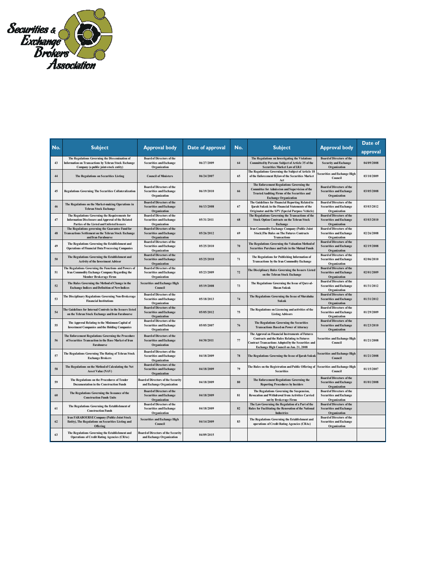

| No. | <b>Subject</b>                                                                                                                                     |                                                                                    | Date of approval |        |                                                                                                                                                                                                                |                                                                                    | Date of    |
|-----|----------------------------------------------------------------------------------------------------------------------------------------------------|------------------------------------------------------------------------------------|------------------|--------|----------------------------------------------------------------------------------------------------------------------------------------------------------------------------------------------------------------|------------------------------------------------------------------------------------|------------|
|     |                                                                                                                                                    | <b>Approval body</b>                                                               |                  | No.    | <b>Subject</b>                                                                                                                                                                                                 | <b>Approval body</b>                                                               | approval   |
| 43  | The Regulations Governing the Dissemination of<br>Information on Transactions by Tehran Stock Exchange<br>Company (a public joint-stock entity)    | <b>Board of Directors of the</b><br><b>Securities and Exchange</b><br>Organization | 06/27/2009       | 64     | The Regulations on Investigating the Violations<br>Committed by Persons Subject of Article 35 of the<br><b>Securities Market Law of I.R.I</b>                                                                  | <b>Board of Directors of the</b><br><b>Security and Exchange</b><br>Organization   | 04/09/2008 |
| 44  | The Regulations on Securities Listing                                                                                                              | <b>Council of Ministers</b>                                                        | 06/24/2007       | 65     | The Regulations Governing the Subject of Article 18<br>of the Enforcement Bylaw of the Securities Market<br>Act                                                                                                | ecurities and Exchange High<br>Council                                             | 03/10/2009 |
| 45  | <b>Regulations Governing The Securities Collateralization</b>                                                                                      | <b>Board of Directors of the</b><br><b>Securities and Exchange</b><br>Organization | 06/19/2010       | 66     | The Enforcement Regulations Governing the<br><b>Committee for Admission and Supervision of the</b><br>Trusted Auditing Firms of the Securities and<br><b>Exchange Organization</b>                             | <b>Board of Directors of the</b><br><b>Securities and Exchange</b><br>Organization | 03/05/2008 |
| 46  | The Regulations on the Market-making Operations in<br><b>Tehran Stock Exchange</b>                                                                 | <b>Board of Directors of the</b><br><b>Securities and Exchange</b><br>Organization | 06/13/2008       | 67     | The Guidelines for Financial Reporting Related to<br>Ijarah Sukuk in the Financial Statements of the<br>Originator and the SPV (Special Purpose Vehicle)                                                       | <b>Board of Directors of the</b><br><b>Securities and Exchange</b><br>Organization | 03/03/2012 |
| 47  | The Regulations Governing the Requirements for<br>Information Disclosure and Approval of the Related<br>Parties of the Listed and Unlisted Issuers | <b>Board of Directors of the</b><br><b>Securities and Exchange</b><br>Organization | 05/31/2011       | 68     | The Regulations Governing the Transactions of the<br><b>Stock Option Contracts on the Tehran Stock</b><br>Exchange                                                                                             | <b>Board of Directors of the</b><br><b>Securities and Exchange</b><br>Organization | 03/03/2010 |
| 48  | The Regulations governing the Guarantee Fund for<br><b>Transactions Settlement on the Tehran Stock Exchange</b><br>and Iran Farabourse             | <b>Board of Directors of the</b><br><b>Securities and Exchange</b><br>Organization | 05/26/2012       | 69     | Iran Commodity Exchange Company (Public Joint<br><b>Stock)The Rules on The Futures Contracts</b><br><b>Transactions</b>                                                                                        | <b>Board of Directors of the</b><br><b>Securities and Exchange</b><br>Organization | 02/26/2008 |
| 49  | The Regulations Governing the Establishment and<br><b>Operations of Financial Data Processing Companies</b>                                        | <b>Board of Directors of the</b><br><b>Securities and Exchange</b><br>Organization | 05/25/2010       | 70     | The Regulations Governing the Valuation Method of<br>Securities Purchase and Sale in the Mutual Funds                                                                                                          | <b>Board of Directors of the</b><br><b>Securities and Exchange</b><br>Organization | 02/19/2008 |
| 50  | The Regulations Governing the Establishment and<br><b>Activity of the Investment Advisor</b>                                                       | <b>Board of Directors of the</b><br><b>Securities and Exchange</b><br>Organization | 05/25/2010       | 71     | The Regulations for Publishing Information of<br>Transactions by the Iran Commodity Exchange                                                                                                                   | <b>Board of Directors of the</b><br><b>Securities and Exchange</b><br>Organization | 02/06/2010 |
| 51  | The Regulations Governing the Functions and Powers of<br>Iran Commodity Exchange Company Regarding the<br>Member Brokerage Firms                   | <b>Board of Directors of the</b><br><b>Securities and Exchange</b><br>Organization | 05/23/2009       | 72     | The Disciplinary Rules Governing the Issuers Listed<br>on the Tehran Stock Exchange                                                                                                                            | <b>Board of Directors of the</b><br><b>Securities and Exchange</b><br>Organization | 02/01/2009 |
| 52  | The Rules Governing the Method of Change in the<br><b>Exchange Indices and Definition of New Indices</b>                                           | <b>Securities and Exchange High</b><br>Council                                     | 05/19/2008       | 73     | The Regulations Governing the Issue of Qarz-al-<br><b>Hasan Sukuk</b>                                                                                                                                          | <b>Board of Directors of the</b><br><b>Securities and Exchange</b><br>Organization | 01/31/2012 |
| 53  | The Disciplinary Regulations Governing Non-Brokerage<br><b>Financial Institutions</b>                                                              | <b>Board of Directors of the</b><br><b>Securities and Exchange</b><br>Organization | 05/18/2013       | $74\,$ | The Regulations Governing the Issue of Murabaha<br>Sukuk                                                                                                                                                       | <b>Board of Directors of the</b><br><b>Securities and Exchange</b><br>Organization | 01/31/2012 |
| 54  | The Guidelines for Internal Controls in the Issuers listed<br>on the Tehran Stock Exchange and Iran Farabourse                                     | <b>Board of Directors of the</b><br><b>Securities and Exchange</b><br>Organization | 05/05/2012       | 75     | The Regulations on Licensing and activities of the<br><b>Listing Advisors</b>                                                                                                                                  | <b>Board of Directors of the</b><br><b>Securities and Exchange</b><br>Organization | 01/29/2009 |
| 55  | The Approval Relating to the Minimum Capital of<br><b>Investment Companies and the Holding Companies</b>                                           | <b>Board of Directors of the</b><br><b>Securities and Exchange</b><br>Organization | 05/05/2007       | 76     | The Regulations Governing the Securities<br><b>Transactions Based on Power of Attorney</b>                                                                                                                     | <b>Board of Directors of the</b><br><b>Securities and Exchange</b><br>Organization | 01/23/2010 |
| 56  | The Enforcement Regulations Governing the Procedure<br>of Securities Transaction in the Base Market of Iran<br><b>Farabourse</b>                   | <b>Board of Directors of the</b><br><b>Securities and Exchange</b><br>Organization | 04/30/2011       | 77     | The Approval on Financial Instruments of Futures<br><b>Contracts and the Rules Relating to Futures</b><br><b>Contract Transactions Adopted by the Securities and</b><br>Exchange High Council on Jan. 21, 2008 | <b>Securities and Exchange High</b><br>Council                                     | 01/21/2008 |
| 57  | The Regulations Governing The Rating of Tehran Stock<br><b>Exchange Brokers</b>                                                                    | <b>Board of Directors of the</b><br><b>Securities and Exchange</b><br>Organization | 04/18/2009       | 78     | The Regulations Governing the Issue of Ijarah Sukuk                                                                                                                                                            | <b>Securities and Exchange High</b><br>Council                                     | 01/21/2008 |
| 58  | The Regulations on the Method of Calculating the Net<br><b>Asset Value (NAV)</b>                                                                   | <b>Board of Directors of the</b><br><b>Securities and Exchange</b><br>Organization | 04/18/2009       | 79     | The Rules on the Registration and Public Offering of<br><b>Securities</b>                                                                                                                                      | <b>Securities and Exchange High</b><br>Council                                     | 01/15/2007 |
| 59  | The Regulations on the Procedures of Tender<br><b>Documentation in the Construction Funds</b>                                                      | <b>Board of Directors of the Security</b><br>and Exchange Organization             | 04/18/2009       | 80     | The Enforcement Regulations Governing the<br><b>Reporting Procedures by Insiders</b>                                                                                                                           | <b>Board of Directors of the</b><br><b>Securities and Exchange</b><br>Organization | 01/01/2008 |
| 60  | The Regulations Governing the Issuance of the<br><b>Construction Funds Units</b>                                                                   | <b>Board of Directors of the</b><br><b>Securities and Exchange</b><br>Organization | 04/18/2009       | 81     | The Regulations Governing the Suspension,<br><b>Revocation and Withdrawal from Activities Carried</b><br>out by Brokerage Firms                                                                                | <b>Board of Directors of the</b><br><b>Securities and Exchange</b><br>Organization |            |
| 61  | The Regulations Governing the Establishment of<br><b>Construction Funds</b>                                                                        | <b>Board of Directors of the</b><br><b>Securities and Exchange</b><br>Organization | 04/18/2009       | 82     | The Law Governing the Regulation of a Part of the<br>Rules for Facilitating the Renovation of the National<br><b>Industries</b>                                                                                | <b>Board of Directors of the</b><br><b>Securities and Exchange</b><br>Organization |            |
| 62  | <b>Iran FARABOURSE Company (Public-Joint Stock</b><br>Entity), The Regulations on Securities Listing and<br>Offering                               | <b>Securities and Exchange High</b><br>Council                                     | 04/14/2009       | 83     | The Regulations Governing the Establishment and<br>operations of Credit Rating Agencies (CRAs)                                                                                                                 | <b>Board of Directors of the</b><br><b>Securities and Exchange</b><br>Organization |            |
| 63  | The Regulations Governing the Establishment and<br><b>Operations of Credit Rating Agencies (CRAs)</b>                                              | <b>Board of Directors of the Security</b><br>and Exchange Organization             | 04/09/2015       |        |                                                                                                                                                                                                                |                                                                                    |            |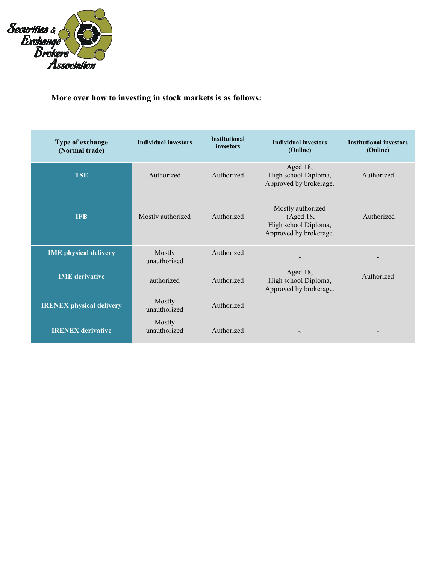

| Type of exchange<br>(Normal trade) | <b>Individual investors</b> | <b>Institutional</b><br>investors | <b>Individual investors</b><br>(Online)                                          | <b>Institutional investors</b><br>(Online) |
|------------------------------------|-----------------------------|-----------------------------------|----------------------------------------------------------------------------------|--------------------------------------------|
| <b>TSE</b>                         | Authorized                  | Authorized                        | Aged 18,<br>High school Diploma,<br>Approved by brokerage.                       | Authorized                                 |
| <b>IFB</b>                         | Mostly authorized           | Authorized                        | Mostly authorized<br>(Aged 18,<br>High school Diploma,<br>Approved by brokerage. | Authorized                                 |
| <b>IME</b> physical delivery       | Mostly<br>unauthorized      | Authorized                        |                                                                                  |                                            |
| <b>IME</b> derivative              | authorized                  | Authorized                        | Aged 18,<br>High school Diploma,<br>Approved by brokerage.                       | Authorized                                 |
| <b>IRENEX</b> physical delivery    | Mostly<br>unauthorized      | Authorized                        |                                                                                  |                                            |
| <b>IRENEX</b> derivative           | Mostly<br>unauthorized      | Authorized                        | -.                                                                               |                                            |